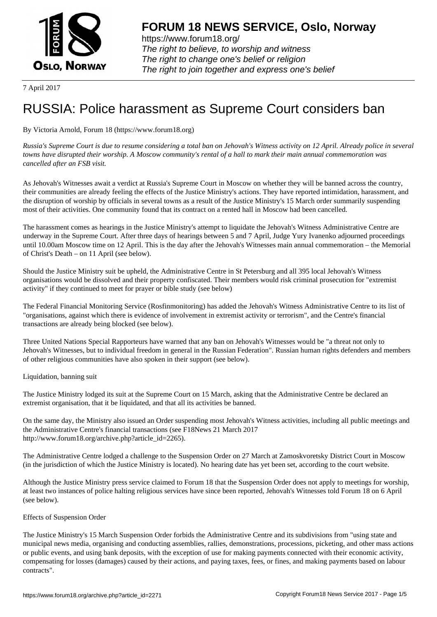

https://www.forum18.org/ The right to believe, to worship and witness The right to change one's belief or religion [The right to join together a](https://www.forum18.org/)nd express one's belief

7 April 2017

# [RUSSIA: Police](https://www.forum18.org) harassment as Supreme Court considers ban

## By Victoria Arnold, Forum 18 (https://www.forum18.org)

*Russia's Supreme Court is due to resume considering a total ban on Jehovah's Witness activity on 12 April. Already police in several towns have disrupted their worship. A Moscow community's rental of a hall to mark their main annual commemoration was cancelled after an FSB visit.*

As Jehovah's Witnesses await a verdict at Russia's Supreme Court in Moscow on whether they will be banned across the country, their communities are already feeling the effects of the Justice Ministry's actions. They have reported intimidation, harassment, and the disruption of worship by officials in several towns as a result of the Justice Ministry's 15 March order summarily suspending most of their activities. One community found that its contract on a rented hall in Moscow had been cancelled.

The harassment comes as hearings in the Justice Ministry's attempt to liquidate the Jehovah's Witness Administrative Centre are underway in the Supreme Court. After three days of hearings between 5 and 7 April, Judge Yury Ivanenko adjourned proceedings until 10.00am Moscow time on 12 April. This is the day after the Jehovah's Witnesses main annual commemoration – the Memorial of Christ's Death – on 11 April (see below).

Should the Justice Ministry suit be upheld, the Administrative Centre in St Petersburg and all 395 local Jehovah's Witness organisations would be dissolved and their property confiscated. Their members would risk criminal prosecution for "extremist activity" if they continued to meet for prayer or bible study (see below)

The Federal Financial Monitoring Service (Rosfinmonitoring) has added the Jehovah's Witness Administrative Centre to its list of "organisations, against which there is evidence of involvement in extremist activity or terrorism", and the Centre's financial transactions are already being blocked (see below).

Three United Nations Special Rapporteurs have warned that any ban on Jehovah's Witnesses would be "a threat not only to Jehovah's Witnesses, but to individual freedom in general in the Russian Federation". Russian human rights defenders and members of other religious communities have also spoken in their support (see below).

Liquidation, banning suit

The Justice Ministry lodged its suit at the Supreme Court on 15 March, asking that the Administrative Centre be declared an extremist organisation, that it be liquidated, and that all its activities be banned.

On the same day, the Ministry also issued an Order suspending most Jehovah's Witness activities, including all public meetings and the Administrative Centre's financial transactions (see F18News 21 March 2017 http://www.forum18.org/archive.php?article\_id=2265).

The Administrative Centre lodged a challenge to the Suspension Order on 27 March at Zamoskvoretsky District Court in Moscow (in the jurisdiction of which the Justice Ministry is located). No hearing date has yet been set, according to the court website.

Although the Justice Ministry press service claimed to Forum 18 that the Suspension Order does not apply to meetings for worship, at least two instances of police halting religious services have since been reported, Jehovah's Witnesses told Forum 18 on 6 April (see below).

## Effects of Suspension Order

The Justice Ministry's 15 March Suspension Order forbids the Administrative Centre and its subdivisions from "using state and municipal news media, organising and conducting assemblies, rallies, demonstrations, processions, picketing, and other mass actions or public events, and using bank deposits, with the exception of use for making payments connected with their economic activity, compensating for losses (damages) caused by their actions, and paying taxes, fees, or fines, and making payments based on labour contracts".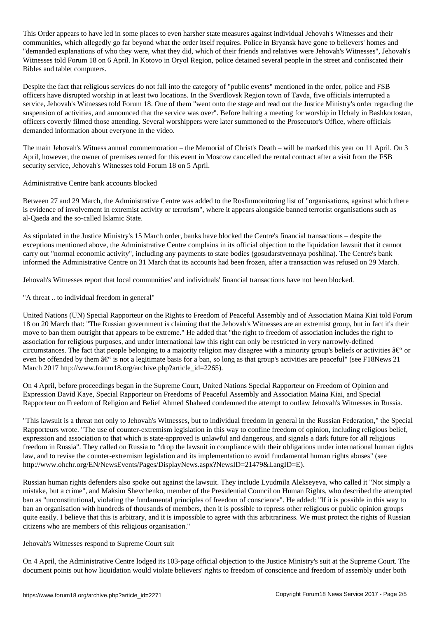This Order appears to have led in some places to even harsher state measures against individual Jehovah's Witnesses and their communities, which allegedly go far beyond what the order itself requires. Police in Bryansk have gone to believers' homes and "demanded explanations of who they were, what they did, which of their friends and relatives were Jehovah's Witnesses", Jehovah's Witnesses told Forum 18 on 6 April. In Kotovo in Oryol Region, police detained several people in the street and confiscated their Bibles and tablet computers.

Despite the fact that religious services do not fall into the category of "public events" mentioned in the order, police and FSB officers have disrupted worship in at least two locations. In the Sverdlovsk Region town of Tavda, five officials interrupted a service, Jehovah's Witnesses told Forum 18. One of them "went onto the stage and read out the Justice Ministry's order regarding the suspension of activities, and announced that the service was over". Before halting a meeting for worship in Uchaly in Bashkortostan, officers covertly filmed those attending. Several worshippers were later summoned to the Prosecutor's Office, where officials demanded information about everyone in the video.

The main Jehovah's Witness annual commemoration – the Memorial of Christ's Death – will be marked this year on 11 April. On 3 April, however, the owner of premises rented for this event in Moscow cancelled the rental contract after a visit from the FSB security service, Jehovah's Witnesses told Forum 18 on 5 April.

Administrative Centre bank accounts blocked

Between 27 and 29 March, the Administrative Centre was added to the Rosfinmonitoring list of "organisations, against which there is evidence of involvement in extremist activity or terrorism", where it appears alongside banned terrorist organisations such as al-Qaeda and the so-called Islamic State.

As stipulated in the Justice Ministry's 15 March order, banks have blocked the Centre's financial transactions – despite the exceptions mentioned above, the Administrative Centre complains in its official objection to the liquidation lawsuit that it cannot carry out "normal economic activity", including any payments to state bodies (gosudarstvennaya poshlina). The Centre's bank informed the Administrative Centre on 31 March that its accounts had been frozen, after a transaction was refused on 29 March.

Jehovah's Witnesses report that local communities' and individuals' financial transactions have not been blocked.

"A threat .. to individual freedom in general"

United Nations (UN) Special Rapporteur on the Rights to Freedom of Peaceful Assembly and of Association Maina Kiai told Forum 18 on 20 March that: "The Russian government is claiming that the Jehovah's Witnesses are an extremist group, but in fact it's their move to ban them outright that appears to be extreme." He added that "the right to freedom of association includes the right to association for religious purposes, and under international law this right can only be restricted in very narrowly-defined circumstances. The fact that people belonging to a majority religion may disagree with a minority group's beliefs or activities  $\hat{a} \in \hat{C}$  or even be offended by them  $\hat{a} \in \hat{a}$  is not a legitimate basis for a ban, so long as that group's activities are peaceful" (see F18News 21 March 2017 http://www.forum18.org/archive.php?article\_id=2265).

On 4 April, before proceedings began in the Supreme Court, United Nations Special Rapporteur on Freedom of Opinion and Expression David Kaye, Special Rapporteur on Freedoms of Peaceful Assembly and Association Maina Kiai, and Special Rapporteur on Freedom of Religion and Belief Ahmed Shaheed condemned the attempt to outlaw Jehovah's Witnesses in Russia.

"This lawsuit is a threat not only to Jehovah's Witnesses, but to individual freedom in general in the Russian Federation," the Special Rapporteurs wrote. "The use of counter-extremism legislation in this way to confine freedom of opinion, including religious belief, expression and association to that which is state-approved is unlawful and dangerous, and signals a dark future for all religious freedom in Russia". They called on Russia to "drop the lawsuit in compliance with their obligations under international human rights law, and to revise the counter-extremism legislation and its implementation to avoid fundamental human rights abuses" (see http://www.ohchr.org/EN/NewsEvents/Pages/DisplayNews.aspx?NewsID=21479&LangID=E).

Russian human rights defenders also spoke out against the lawsuit. They include Lyudmila Alekseyeva, who called it "Not simply a mistake, but a crime", and Maksim Shevchenko, member of the Presidential Council on Human Rights, who described the attempted ban as "unconstitutional, violating the fundamental principles of freedom of conscience". He added: "If it is possible in this way to ban an organisation with hundreds of thousands of members, then it is possible to repress other religious or public opinion groups quite easily. I believe that this is arbitrary, and it is impossible to agree with this arbitrariness. We must protect the rights of Russian citizens who are members of this religious organisation."

### Jehovah's Witnesses respond to Supreme Court suit

On 4 April, the Administrative Centre lodged its 103-page official objection to the Justice Ministry's suit at the Supreme Court. The document points out how liquidation would violate believers' rights to freedom of conscience and freedom of assembly under both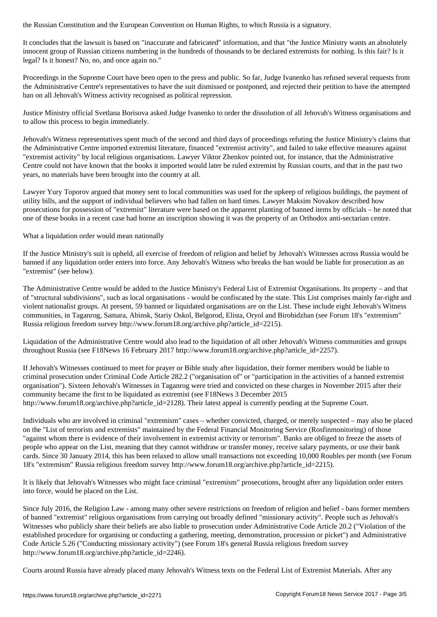It concludes that the lawsuit is based on "inaccurate and fabricated" information, and that "the Justice Ministry wants an absolutely innocent group of Russian citizens numbering in the hundreds of thousands to be declared extremists for nothing. Is this fair? Is it legal? Is it honest? No, no, and once again no."

Proceedings in the Supreme Court have been open to the press and public. So far, Judge Ivanenko has refused several requests from the Administrative Centre's representatives to have the suit dismissed or postponed, and rejected their petition to have the attempted ban on all Jehovah's Witness activity recognised as political repression.

Justice Ministry official Svetlana Borisova asked Judge Ivanenko to order the dissolution of all Jehovah's Witness organisations and to allow this process to begin immediately.

Jehovah's Witness representatives spent much of the second and third days of proceedings refuting the Justice Ministry's claims that the Administrative Centre imported extremist literature, financed "extremist activity", and failed to take effective measures against "extremist activity" by local religious organisations. Lawyer Viktor Zhenkov pointed out, for instance, that the Administrative Centre could not have known that the books it imported would later be ruled extremist by Russian courts, and that in the past two years, no materials have been brought into the country at all.

Lawyer Yury Toporov argued that money sent to local communities was used for the upkeep of religious buildings, the payment of utility bills, and the support of individual believers who had fallen on hard times. Lawyer Maksim Novakov described how prosecutions for possession of "extremist" literature were based on the apparent planting of banned items by officials – he noted that one of these books in a recent case had borne an inscription showing it was the property of an Orthodox anti-sectarian centre.

What a liquidation order would mean nationally

If the Justice Ministry's suit is upheld, all exercise of freedom of religion and belief by Jehovah's Witnesses across Russia would be banned if any liquidation order enters into force. Any Jehovah's Witness who breaks the ban would be liable for prosecution as an "extremist" (see below).

The Administrative Centre would be added to the Justice Ministry's Federal List of Extremist Organisations. Its property – and that of "structural subdivisions", such as local organisations - would be confiscated by the state. This List comprises mainly far-right and violent nationalist groups. At present, 59 banned or liquidated organisations are on the List. These include eight Jehovah's Witness communities, in Taganrog, Samara, Abinsk, Stariy Oskol, Belgorod, Elista, Oryol and Birobidzhan (see Forum 18's "extremism" Russia religious freedom survey http://www.forum18.org/archive.php?article\_id=2215).

Liquidation of the Administrative Centre would also lead to the liquidation of all other Jehovah's Witness communities and groups throughout Russia (see F18News 16 February 2017 http://www.forum18.org/archive.php?article\_id=2257).

If Jehovah's Witnesses continued to meet for prayer or Bible study after liquidation, their former members would be liable to criminal prosecution under Criminal Code Article 282.2 ("organisation of" or "participation in the activities of a banned extremist organisation"). Sixteen Jehovah's Witnesses in Taganrog were tried and convicted on these charges in November 2015 after their community became the first to be liquidated as extremist (see F18News 3 December 2015 http://www.forum18.org/archive.php?article\_id=2128). Their latest appeal is currently pending at the Supreme Court.

Individuals who are involved in criminal "extremism" cases – whether convicted, charged, or merely suspected – may also be placed on the "List of terrorists and extremists" maintained by the Federal Financial Monitoring Service (Rosfinmonitoring) of those "against whom there is evidence of their involvement in extremist activity or terrorism". Banks are obliged to freeze the assets of people who appear on the List, meaning that they cannot withdraw or transfer money, receive salary payments, or use their bank cards. Since 30 January 2014, this has been relaxed to allow small transactions not exceeding 10,000 Roubles per month (see Forum 18's "extremism" Russia religious freedom survey http://www.forum18.org/archive.php?article\_id=2215).

It is likely that Jehovah's Witnesses who might face criminal "extremism" prosecutions, brought after any liquidation order enters into force, would be placed on the List.

Since July 2016, the Religion Law - among many other severe restrictions on freedom of religion and belief - bans former members of banned "extremist" religious organisations from carrying out broadly defined "missionary activity". People such as Jehovah's Witnesses who publicly share their beliefs are also liable to prosecution under Administrative Code Article 20.2 ("Violation of the established procedure for organising or conducting a gathering, meeting, demonstration, procession or picket") and Administrative Code Article 5.26 ("Conducting missionary activity") (see Forum 18's general Russia religious freedom survey http://www.forum18.org/archive.php?article\_id=2246).

Courts around Russia have already placed many Jehovah's Witness texts on the Federal List of Extremist Materials. After any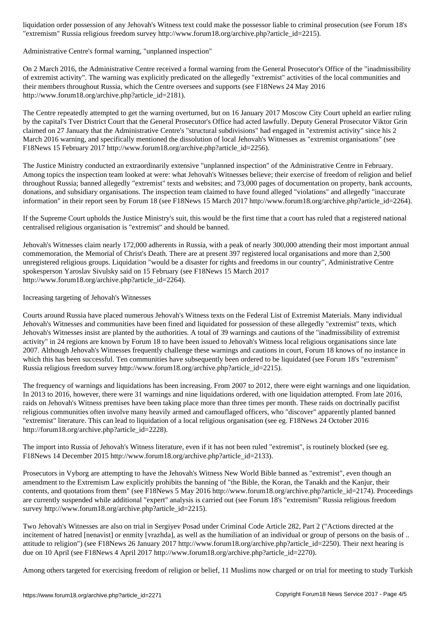"extremism" Russia religious freedom survey http://www.forum18.org/archive.php?article\_id=2215).

Administrative Centre's formal warning, "unplanned inspection"

On 2 March 2016, the Administrative Centre received a formal warning from the General Prosecutor's Office of the "inadmissibility of extremist activity". The warning was explicitly predicated on the allegedly "extremist" activities of the local communities and their members throughout Russia, which the Centre oversees and supports (see F18News 24 May 2016 http://www.forum18.org/archive.php?article\_id=2181).

The Centre repeatedly attempted to get the warning overturned, but on 16 January 2017 Moscow City Court upheld an earlier ruling by the capital's Tver District Court that the General Prosecutor's Office had acted lawfully. Deputy General Prosecutor Viktor Grin claimed on 27 January that the Administrative Centre's "structural subdivisions" had engaged in "extremist activity" since his 2 March 2016 warning, and specifically mentioned the dissolution of local Jehovah's Witnesses as "extremist organisations" (see F18News 15 February 2017 http://www.forum18.org/archive.php?article\_id=2256).

The Justice Ministry conducted an extraordinarily extensive "unplanned inspection" of the Administrative Centre in February. Among topics the inspection team looked at were: what Jehovah's Witnesses believe; their exercise of freedom of religion and belief throughout Russia; banned allegedly "extremist" texts and websites; and 73,000 pages of documentation on property, bank accounts, donations, and subsidiary organisations. The inspection team claimed to have found alleged "violations" and allegedly "inaccurate information" in their report seen by Forum 18 (see F18News 15 March 2017 http://www.forum18.org/archive.php?article\_id=2264).

If the Supreme Court upholds the Justice Ministry's suit, this would be the first time that a court has ruled that a registered national centralised religious organisation is "extremist" and should be banned.

Jehovah's Witnesses claim nearly 172,000 adherents in Russia, with a peak of nearly 300,000 attending their most important annual commemoration, the Memorial of Christ's Death. There are at present 397 registered local organisations and more than 2,500 unregistered religious groups. Liquidation "would be a disaster for rights and freedoms in our country", Administrative Centre spokesperson Yaroslav Sivulsky said on 15 February (see F18News 15 March 2017 http://www.forum18.org/archive.php?article\_id=2264).

### Increasing targeting of Jehovah's Witnesses

Courts around Russia have placed numerous Jehovah's Witness texts on the Federal List of Extremist Materials. Many individual Jehovah's Witnesses and communities have been fined and liquidated for possession of these allegedly "extremist" texts, which Jehovah's Witnesses insist are planted by the authorities. A total of 39 warnings and cautions of the "inadmissibility of extremist activity" in 24 regions are known by Forum 18 to have been issued to Jehovah's Witness local religious organisations since late 2007. Although Jehovah's Witnesses frequently challenge these warnings and cautions in court, Forum 18 knows of no instance in which this has been successful. Ten communities have subsequently been ordered to be liquidated (see Forum 18's "extremism" Russia religious freedom survey http://www.forum18.org/archive.php?article\_id=2215).

The frequency of warnings and liquidations has been increasing. From 2007 to 2012, there were eight warnings and one liquidation. In 2013 to 2016, however, there were 31 warnings and nine liquidations ordered, with one liquidation attempted. From late 2016, raids on Jehovah's Witness premises have been taking place more than three times per month. These raids on doctrinally pacifist religious communities often involve many heavily armed and camouflaged officers, who "discover" apparently planted banned "extremist" literature. This can lead to liquidation of a local religious organisation (see eg. F18News 24 October 2016 http://forum18.org/archive.php?article\_id=2228).

The import into Russia of Jehovah's Witness literature, even if it has not been ruled "extremist", is routinely blocked (see eg. F18News 14 December 2015 http://www.forum18.org/archive.php?article\_id=2133).

Prosecutors in Vyborg are attempting to have the Jehovah's Witness New World Bible banned as "extremist", even though an amendment to the Extremism Law explicitly prohibits the banning of "the Bible, the Koran, the Tanakh and the Kanjur, their contents, and quotations from them" (see F18News 5 May 2016 http://www.forum18.org/archive.php?article\_id=2174). Proceedings are currently suspended while additional "expert" analysis is carried out (see Forum 18's "extremism" Russia religious freedom survey http://www.forum18.org/archive.php?article\_id=2215).

Two Jehovah's Witnesses are also on trial in Sergiyev Posad under Criminal Code Article 282, Part 2 ("Actions directed at the incitement of hatred [nenavist] or enmity [vrazhda], as well as the humiliation of an individual or group of persons on the basis of .. attitude to religion") (see F18News 26 January 2017 http://www.forum18.org/archive.php?article\_id=2250). Their next hearing is due on 10 April (see F18News 4 April 2017 http://www.forum18.org/archive.php?article\_id=2270).

Among others targeted for exercising freedom of religion or belief, 11 Muslims now charged or on trial for meeting to study Turkish